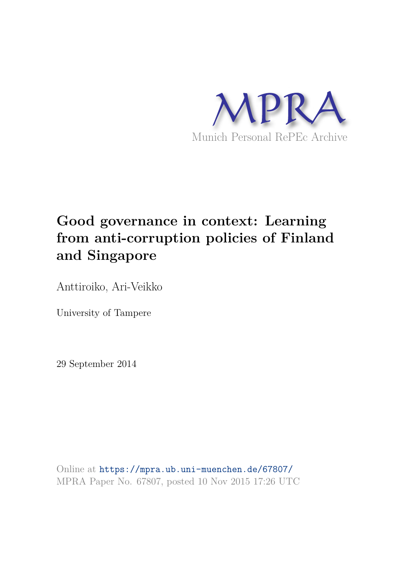

# **Good governance in context: Learning from anti-corruption policies of Finland and Singapore**

Anttiroiko, Ari-Veikko

University of Tampere

29 September 2014

Online at https://mpra.ub.uni-muenchen.de/67807/ MPRA Paper No. 67807, posted 10 Nov 2015 17:26 UTC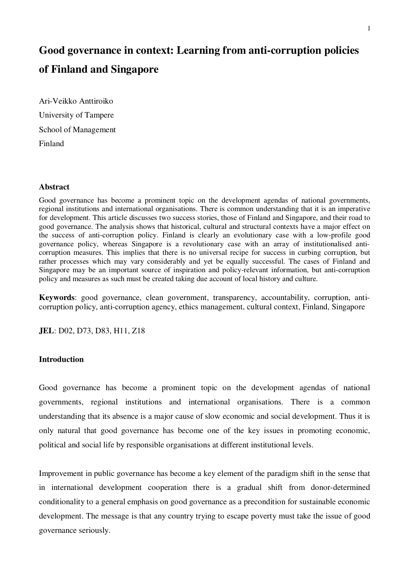## **Good governance in context: Learning from anti-corruption policies of Finland and Singapore**

Ari-Veikko Anttiroiko University of Tampere School of Management Finland

## **Abstract**

Good governance has become a prominent topic on the development agendas of national governments, regional institutions and international organisations. There is common understanding that it is an imperative for development. This article discusses two success stories, those of Finland and Singapore, and their road to good governance. The analysis shows that historical, cultural and structural contexts have a major effect on the success of anti-corruption policy. Finland is clearly an evolutionary case with a low-profile good governance policy, whereas Singapore is a revolutionary case with an array of institutionalised anticorruption measures. This implies that there is no universal recipe for success in curbing corruption, but rather processes which may vary considerably and yet be equally successful. The cases of Finland and Singapore may be an important source of inspiration and policy-relevant information, but anti-corruption policy and measures as such must be created taking due account of local history and culture.

**Keywords**: good governance, clean government, transparency, accountability, corruption, anticorruption policy, anti-corruption agency, ethics management, cultural context, Finland, Singapore

**JEL**: D02, D73, D83, H11, Z18

## **Introduction**

Good governance has become a prominent topic on the development agendas of national governments, regional institutions and international organisations. There is a common understanding that its absence is a major cause of slow economic and social development. Thus it is only natural that good governance has become one of the key issues in promoting economic, political and social life by responsible organisations at different institutional levels.

Improvement in public governance has become a key element of the paradigm shift in the sense that in international development cooperation there is a gradual shift from donor-determined conditionality to a general emphasis on good governance as a precondition for sustainable economic development. The message is that any country trying to escape poverty must take the issue of good governance seriously.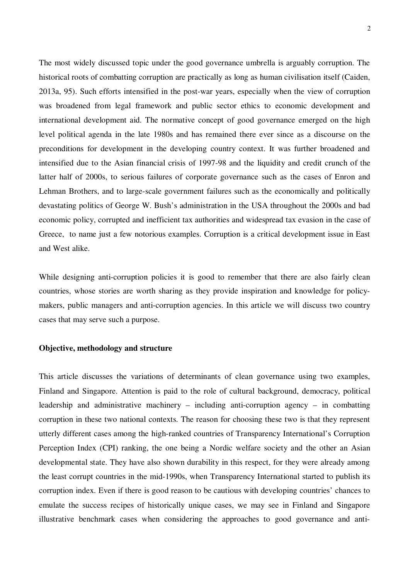The most widely discussed topic under the good governance umbrella is arguably corruption. The historical roots of combatting corruption are practically as long as human civilisation itself (Caiden, 2013a, 95). Such efforts intensified in the post-war years, especially when the view of corruption was broadened from legal framework and public sector ethics to economic development and international development aid. The normative concept of good governance emerged on the high level political agenda in the late 1980s and has remained there ever since as a discourse on the preconditions for development in the developing country context. It was further broadened and intensified due to the Asian financial crisis of 1997-98 and the liquidity and credit crunch of the latter half of 2000s, to serious failures of corporate governance such as the cases of Enron and Lehman Brothers, and to large-scale government failures such as the economically and politically devastating politics of George W. Bush's administration in the USA throughout the 2000s and bad economic policy, corrupted and inefficient tax authorities and widespread tax evasion in the case of Greece, to name just a few notorious examples. Corruption is a critical development issue in East and West alike.

While designing anti-corruption policies it is good to remember that there are also fairly clean countries, whose stories are worth sharing as they provide inspiration and knowledge for policymakers, public managers and anti-corruption agencies. In this article we will discuss two country cases that may serve such a purpose.

## **Objective, methodology and structure**

This article discusses the variations of determinants of clean governance using two examples, Finland and Singapore. Attention is paid to the role of cultural background, democracy, political leadership and administrative machinery – including anti-corruption agency – in combatting corruption in these two national contexts. The reason for choosing these two is that they represent utterly different cases among the high-ranked countries of Transparency International's Corruption Perception Index (CPI) ranking, the one being a Nordic welfare society and the other an Asian developmental state. They have also shown durability in this respect, for they were already among the least corrupt countries in the mid-1990s, when Transparency International started to publish its corruption index. Even if there is good reason to be cautious with developing countries' chances to emulate the success recipes of historically unique cases, we may see in Finland and Singapore illustrative benchmark cases when considering the approaches to good governance and anti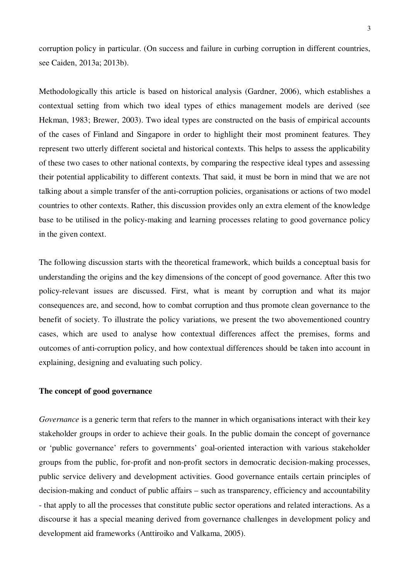corruption policy in particular. (On success and failure in curbing corruption in different countries, see Caiden, 2013a; 2013b).

Methodologically this article is based on historical analysis (Gardner, 2006), which establishes a contextual setting from which two ideal types of ethics management models are derived (see Hekman, 1983; Brewer, 2003). Two ideal types are constructed on the basis of empirical accounts of the cases of Finland and Singapore in order to highlight their most prominent features. They represent two utterly different societal and historical contexts. This helps to assess the applicability of these two cases to other national contexts, by comparing the respective ideal types and assessing their potential applicability to different contexts. That said, it must be born in mind that we are not talking about a simple transfer of the anti-corruption policies, organisations or actions of two model countries to other contexts. Rather, this discussion provides only an extra element of the knowledge base to be utilised in the policy-making and learning processes relating to good governance policy in the given context.

The following discussion starts with the theoretical framework, which builds a conceptual basis for understanding the origins and the key dimensions of the concept of good governance. After this two policy-relevant issues are discussed. First, what is meant by corruption and what its major consequences are, and second, how to combat corruption and thus promote clean governance to the benefit of society. To illustrate the policy variations, we present the two abovementioned country cases, which are used to analyse how contextual differences affect the premises, forms and outcomes of anti-corruption policy, and how contextual differences should be taken into account in explaining, designing and evaluating such policy.

## **The concept of good governance**

*Governance* is a generic term that refers to the manner in which organisations interact with their key stakeholder groups in order to achieve their goals. In the public domain the concept of governance or 'public governance' refers to governments' goal-oriented interaction with various stakeholder groups from the public, for-profit and non-profit sectors in democratic decision-making processes, public service delivery and development activities. Good governance entails certain principles of decision-making and conduct of public affairs – such as transparency, efficiency and accountability - that apply to all the processes that constitute public sector operations and related interactions. As a discourse it has a special meaning derived from governance challenges in development policy and development aid frameworks (Anttiroiko and Valkama, 2005).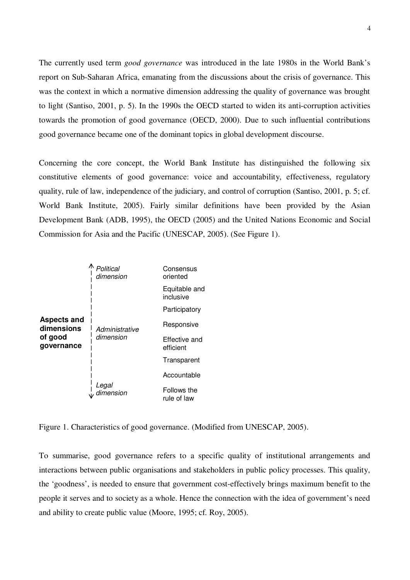The currently used term *good governance* was introduced in the late 1980s in the World Bank's report on Sub-Saharan Africa, emanating from the discussions about the crisis of governance. This was the context in which a normative dimension addressing the quality of governance was brought to light (Santiso, 2001, p. 5). In the 1990s the OECD started to widen its anti-corruption activities towards the promotion of good governance (OECD, 2000). Due to such influential contributions good governance became one of the dominant topics in global development discourse.

Concerning the core concept, the World Bank Institute has distinguished the following six constitutive elements of good governance: voice and accountability, effectiveness, regulatory quality, rule of law, independence of the judiciary, and control of corruption (Santiso, 2001, p. 5; cf. World Bank Institute, 2005). Fairly similar definitions have been provided by the Asian Development Bank (ADB, 1995), the OECD (2005) and the United Nations Economic and Social Commission for Asia and the Pacific (UNESCAP, 2005). (See Figure 1).



Figure 1. Characteristics of good governance. (Modified from UNESCAP, 2005).

To summarise, good governance refers to a specific quality of institutional arrangements and interactions between public organisations and stakeholders in public policy processes. This quality, the 'goodness', is needed to ensure that government cost-effectively brings maximum benefit to the people it serves and to society as a whole. Hence the connection with the idea of government's need and ability to create public value (Moore, 1995; cf. Roy, 2005).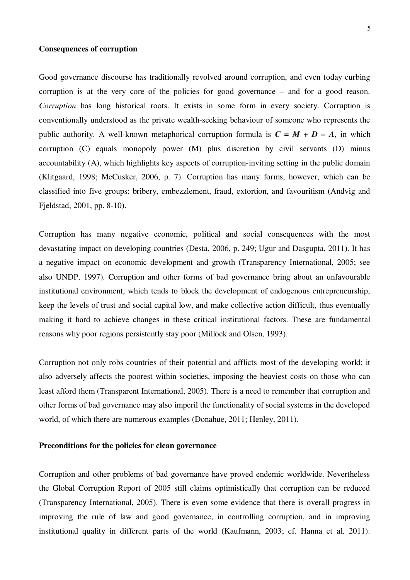## **Consequences of corruption**

Good governance discourse has traditionally revolved around corruption, and even today curbing corruption is at the very core of the policies for good governance – and for a good reason. *Corruption* has long historical roots. It exists in some form in every society. Corruption is conventionally understood as the private wealth-seeking behaviour of someone who represents the public authority. A well-known metaphorical corruption formula is  $C = M + D - A$ , in which corruption (C) equals monopoly power (M) plus discretion by civil servants (D) minus accountability (A), which highlights key aspects of corruption-inviting setting in the public domain (Klitgaard, 1998; McCusker, 2006, p. 7). Corruption has many forms, however, which can be classified into five groups: bribery, embezzlement, fraud, extortion, and favouritism (Andvig and Fjeldstad, 2001, pp. 8-10).

Corruption has many negative economic, political and social consequences with the most devastating impact on developing countries (Desta, 2006, p. 249; Ugur and Dasgupta, 2011). It has a negative impact on economic development and growth (Transparency International, 2005; see also UNDP, 1997). Corruption and other forms of bad governance bring about an unfavourable institutional environment, which tends to block the development of endogenous entrepreneurship, keep the levels of trust and social capital low, and make collective action difficult, thus eventually making it hard to achieve changes in these critical institutional factors. These are fundamental reasons why poor regions persistently stay poor (Millock and Olsen, 1993).

Corruption not only robs countries of their potential and afflicts most of the developing world; it also adversely affects the poorest within societies, imposing the heaviest costs on those who can least afford them (Transparent International, 2005). There is a need to remember that corruption and other forms of bad governance may also imperil the functionality of social systems in the developed world, of which there are numerous examples (Donahue, 2011; Henley, 2011).

## **Preconditions for the policies for clean governance**

Corruption and other problems of bad governance have proved endemic worldwide. Nevertheless the Global Corruption Report of 2005 still claims optimistically that corruption can be reduced (Transparency International, 2005). There is even some evidence that there is overall progress in improving the rule of law and good governance, in controlling corruption, and in improving institutional quality in different parts of the world (Kaufmann, 2003; cf. Hanna et al. 2011).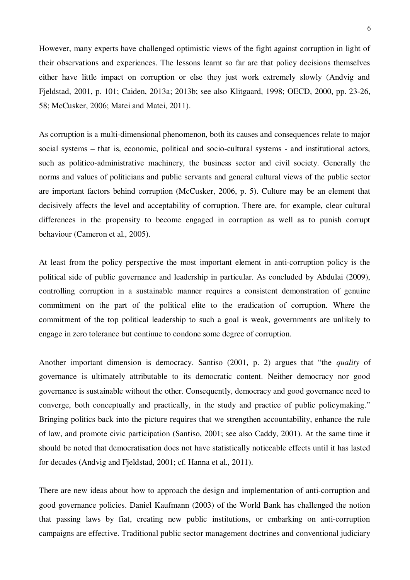However, many experts have challenged optimistic views of the fight against corruption in light of their observations and experiences. The lessons learnt so far are that policy decisions themselves either have little impact on corruption or else they just work extremely slowly (Andvig and Fjeldstad, 2001, p. 101; Caiden, 2013a; 2013b; see also Klitgaard, 1998; OECD, 2000, pp. 23-26, 58; McCusker, 2006; Matei and Matei, 2011).

As corruption is a multi-dimensional phenomenon, both its causes and consequences relate to major social systems – that is, economic, political and socio-cultural systems - and institutional actors, such as politico-administrative machinery, the business sector and civil society. Generally the norms and values of politicians and public servants and general cultural views of the public sector are important factors behind corruption (McCusker, 2006, p. 5). Culture may be an element that decisively affects the level and acceptability of corruption. There are, for example, clear cultural differences in the propensity to become engaged in corruption as well as to punish corrupt behaviour (Cameron et al., 2005).

At least from the policy perspective the most important element in anti-corruption policy is the political side of public governance and leadership in particular. As concluded by Abdulai (2009), controlling corruption in a sustainable manner requires a consistent demonstration of genuine commitment on the part of the political elite to the eradication of corruption. Where the commitment of the top political leadership to such a goal is weak, governments are unlikely to engage in zero tolerance but continue to condone some degree of corruption.

Another important dimension is democracy. Santiso (2001, p. 2) argues that "the *quality* of governance is ultimately attributable to its democratic content. Neither democracy nor good governance is sustainable without the other. Consequently, democracy and good governance need to converge, both conceptually and practically, in the study and practice of public policymaking." Bringing politics back into the picture requires that we strengthen accountability, enhance the rule of law, and promote civic participation (Santiso, 2001; see also Caddy, 2001). At the same time it should be noted that democratisation does not have statistically noticeable effects until it has lasted for decades (Andvig and Fjeldstad, 2001; cf. Hanna et al., 2011).

There are new ideas about how to approach the design and implementation of anti-corruption and good governance policies. Daniel Kaufmann (2003) of the World Bank has challenged the notion that passing laws by fiat, creating new public institutions, or embarking on anti-corruption campaigns are effective. Traditional public sector management doctrines and conventional judiciary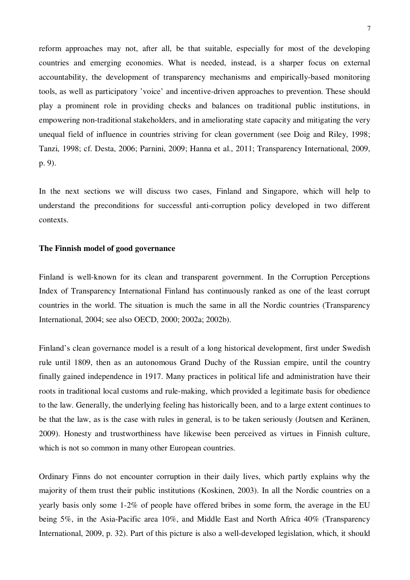reform approaches may not, after all, be that suitable, especially for most of the developing countries and emerging economies. What is needed, instead, is a sharper focus on external accountability, the development of transparency mechanisms and empirically-based monitoring tools, as well as participatory 'voice' and incentive-driven approaches to prevention. These should play a prominent role in providing checks and balances on traditional public institutions, in empowering non-traditional stakeholders, and in ameliorating state capacity and mitigating the very unequal field of influence in countries striving for clean government (see Doig and Riley, 1998; Tanzi, 1998; cf. Desta, 2006; Parnini, 2009; Hanna et al., 2011; Transparency International, 2009, p. 9).

In the next sections we will discuss two cases, Finland and Singapore, which will help to understand the preconditions for successful anti-corruption policy developed in two different contexts.

## **The Finnish model of good governance**

Finland is well-known for its clean and transparent government. In the Corruption Perceptions Index of Transparency International Finland has continuously ranked as one of the least corrupt countries in the world. The situation is much the same in all the Nordic countries (Transparency International, 2004; see also OECD, 2000; 2002a; 2002b).

Finland's clean governance model is a result of a long historical development, first under Swedish rule until 1809, then as an autonomous Grand Duchy of the Russian empire, until the country finally gained independence in 1917. Many practices in political life and administration have their roots in traditional local customs and rule-making, which provided a legitimate basis for obedience to the law. Generally, the underlying feeling has historically been, and to a large extent continues to be that the law, as is the case with rules in general, is to be taken seriously (Joutsen and Keränen, 2009). Honesty and trustworthiness have likewise been perceived as virtues in Finnish culture, which is not so common in many other European countries.

Ordinary Finns do not encounter corruption in their daily lives, which partly explains why the majority of them trust their public institutions (Koskinen, 2003). In all the Nordic countries on a yearly basis only some 1-2% of people have offered bribes in some form, the average in the EU being 5%, in the Asia-Pacific area 10%, and Middle East and North Africa 40% (Transparency International, 2009, p. 32). Part of this picture is also a well-developed legislation, which, it should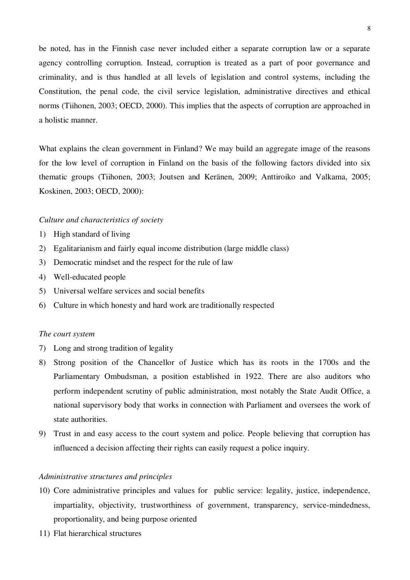be noted, has in the Finnish case never included either a separate corruption law or a separate agency controlling corruption. Instead, corruption is treated as a part of poor governance and criminality, and is thus handled at all levels of legislation and control systems, including the Constitution, the penal code, the civil service legislation, administrative directives and ethical norms (Tiihonen, 2003; OECD, 2000). This implies that the aspects of corruption are approached in a holistic manner.

What explains the clean government in Finland? We may build an aggregate image of the reasons for the low level of corruption in Finland on the basis of the following factors divided into six thematic groups (Tiihonen, 2003; Joutsen and Keränen, 2009; Anttiroiko and Valkama, 2005; Koskinen, 2003; OECD, 2000):

## *Culture and characteristics of society*

- 1) High standard of living
- 2) Egalitarianism and fairly equal income distribution (large middle class)
- 3) Democratic mindset and the respect for the rule of law
- 4) Well-educated people
- 5) Universal welfare services and social benefits
- 6) Culture in which honesty and hard work are traditionally respected

#### *The court system*

- 7) Long and strong tradition of legality
- 8) Strong position of the Chancellor of Justice which has its roots in the 1700s and the Parliamentary Ombudsman, a position established in 1922. There are also auditors who perform independent scrutiny of public administration, most notably the State Audit Office, a national supervisory body that works in connection with Parliament and oversees the work of state authorities.
- 9) Trust in and easy access to the court system and police. People believing that corruption has influenced a decision affecting their rights can easily request a police inquiry.

## *Administrative structures and principles*

- 10) Core administrative principles and values for public service: legality, justice, independence, impartiality, objectivity, trustworthiness of government, transparency, service-mindedness, proportionality, and being purpose oriented
- 11) Flat hierarchical structures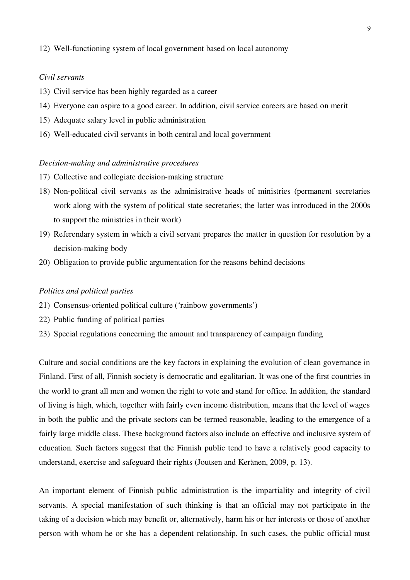## 12) Well-functioning system of local government based on local autonomy

## *Civil servants*

- 13) Civil service has been highly regarded as a career
- 14) Everyone can aspire to a good career. In addition, civil service careers are based on merit
- 15) Adequate salary level in public administration
- 16) Well-educated civil servants in both central and local government

## *Decision-making and administrative procedures*

- 17) Collective and collegiate decision-making structure
- 18) Non-political civil servants as the administrative heads of ministries (permanent secretaries work along with the system of political state secretaries; the latter was introduced in the 2000s to support the ministries in their work)
- 19) Referendary system in which a civil servant prepares the matter in question for resolution by a decision-making body
- 20) Obligation to provide public argumentation for the reasons behind decisions

## *Politics and political parties*

- 21) Consensus-oriented political culture ('rainbow governments')
- 22) Public funding of political parties
- 23) Special regulations concerning the amount and transparency of campaign funding

Culture and social conditions are the key factors in explaining the evolution of clean governance in Finland. First of all, Finnish society is democratic and egalitarian. It was one of the first countries in the world to grant all men and women the right to vote and stand for office. In addition, the standard of living is high, which, together with fairly even income distribution, means that the level of wages in both the public and the private sectors can be termed reasonable, leading to the emergence of a fairly large middle class. These background factors also include an effective and inclusive system of education. Such factors suggest that the Finnish public tend to have a relatively good capacity to understand, exercise and safeguard their rights (Joutsen and Keränen, 2009, p. 13).

An important element of Finnish public administration is the impartiality and integrity of civil servants. A special manifestation of such thinking is that an official may not participate in the taking of a decision which may benefit or, alternatively, harm his or her interests or those of another person with whom he or she has a dependent relationship. In such cases, the public official must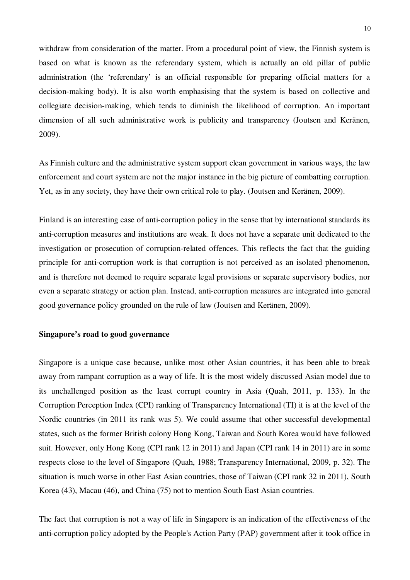withdraw from consideration of the matter. From a procedural point of view, the Finnish system is based on what is known as the referendary system, which is actually an old pillar of public administration (the 'referendary' is an official responsible for preparing official matters for a decision-making body). It is also worth emphasising that the system is based on collective and collegiate decision-making, which tends to diminish the likelihood of corruption. An important dimension of all such administrative work is publicity and transparency (Joutsen and Keränen, 2009).

As Finnish culture and the administrative system support clean government in various ways, the law enforcement and court system are not the major instance in the big picture of combatting corruption. Yet, as in any society, they have their own critical role to play. (Joutsen and Keränen, 2009).

Finland is an interesting case of anti-corruption policy in the sense that by international standards its anti-corruption measures and institutions are weak. It does not have a separate unit dedicated to the investigation or prosecution of corruption-related offences. This reflects the fact that the guiding principle for anti-corruption work is that corruption is not perceived as an isolated phenomenon, and is therefore not deemed to require separate legal provisions or separate supervisory bodies, nor even a separate strategy or action plan. Instead, anti-corruption measures are integrated into general good governance policy grounded on the rule of law (Joutsen and Keränen, 2009).

## **Singapore's road to good governance**

Singapore is a unique case because, unlike most other Asian countries, it has been able to break away from rampant corruption as a way of life. It is the most widely discussed Asian model due to its unchallenged position as the least corrupt country in Asia (Quah, 2011, p. 133). In the Corruption Perception Index (CPI) ranking of Transparency International (TI) it is at the level of the Nordic countries (in 2011 its rank was 5). We could assume that other successful developmental states, such as the former British colony Hong Kong, Taiwan and South Korea would have followed suit. However, only Hong Kong (CPI rank 12 in 2011) and Japan (CPI rank 14 in 2011) are in some respects close to the level of Singapore (Quah, 1988; Transparency International, 2009, p. 32). The situation is much worse in other East Asian countries, those of Taiwan (CPI rank 32 in 2011), South Korea (43), Macau (46), and China (75) not to mention South East Asian countries.

The fact that corruption is not a way of life in Singapore is an indication of the effectiveness of the anti-corruption policy adopted by the People's Action Party (PAP) government after it took office in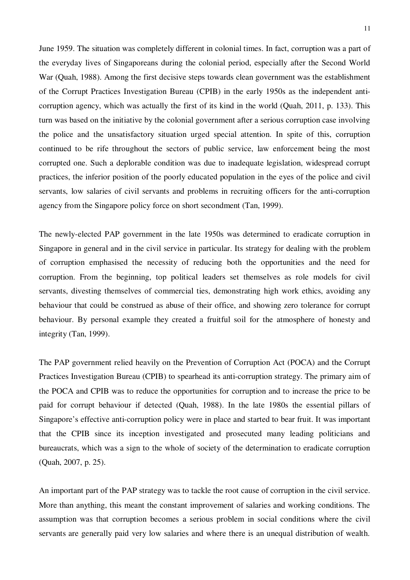June 1959. The situation was completely different in colonial times. In fact, corruption was a part of the everyday lives of Singaporeans during the colonial period, especially after the Second World War (Quah, 1988). Among the first decisive steps towards clean government was the establishment of the Corrupt Practices Investigation Bureau (CPIB) in the early 1950s as the independent anticorruption agency, which was actually the first of its kind in the world (Quah, 2011, p. 133). This turn was based on the initiative by the colonial government after a serious corruption case involving the police and the unsatisfactory situation urged special attention. In spite of this, corruption continued to be rife throughout the sectors of public service, law enforcement being the most corrupted one. Such a deplorable condition was due to inadequate legislation, widespread corrupt practices, the inferior position of the poorly educated population in the eyes of the police and civil servants, low salaries of civil servants and problems in recruiting officers for the anti-corruption agency from the Singapore policy force on short secondment (Tan, 1999).

The newly-elected PAP government in the late 1950s was determined to eradicate corruption in Singapore in general and in the civil service in particular. Its strategy for dealing with the problem of corruption emphasised the necessity of reducing both the opportunities and the need for corruption. From the beginning, top political leaders set themselves as role models for civil servants, divesting themselves of commercial ties, demonstrating high work ethics, avoiding any behaviour that could be construed as abuse of their office, and showing zero tolerance for corrupt behaviour. By personal example they created a fruitful soil for the atmosphere of honesty and integrity (Tan, 1999).

The PAP government relied heavily on the Prevention of Corruption Act (POCA) and the Corrupt Practices Investigation Bureau (CPIB) to spearhead its anti-corruption strategy. The primary aim of the POCA and CPIB was to reduce the opportunities for corruption and to increase the price to be paid for corrupt behaviour if detected (Quah, 1988). In the late 1980s the essential pillars of Singapore's effective anti-corruption policy were in place and started to bear fruit. It was important that the CPIB since its inception investigated and prosecuted many leading politicians and bureaucrats, which was a sign to the whole of society of the determination to eradicate corruption (Quah, 2007, p. 25).

An important part of the PAP strategy was to tackle the root cause of corruption in the civil service. More than anything, this meant the constant improvement of salaries and working conditions. The assumption was that corruption becomes a serious problem in social conditions where the civil servants are generally paid very low salaries and where there is an unequal distribution of wealth.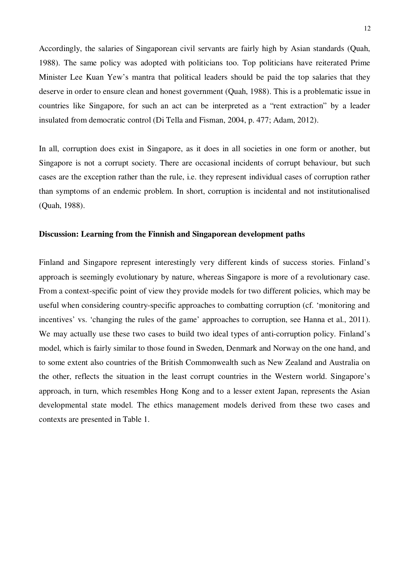Accordingly, the salaries of Singaporean civil servants are fairly high by Asian standards (Quah, 1988). The same policy was adopted with politicians too. Top politicians have reiterated Prime Minister Lee Kuan Yew's mantra that political leaders should be paid the top salaries that they deserve in order to ensure clean and honest government (Quah, 1988). This is a problematic issue in countries like Singapore, for such an act can be interpreted as a "rent extraction" by a leader insulated from democratic control (Di Tella and Fisman, 2004, p. 477; Adam, 2012).

In all, corruption does exist in Singapore, as it does in all societies in one form or another, but Singapore is not a corrupt society. There are occasional incidents of corrupt behaviour, but such cases are the exception rather than the rule, i.e. they represent individual cases of corruption rather than symptoms of an endemic problem. In short, corruption is incidental and not institutionalised (Quah, 1988).

## **Discussion: Learning from the Finnish and Singaporean development paths**

Finland and Singapore represent interestingly very different kinds of success stories. Finland's approach is seemingly evolutionary by nature, whereas Singapore is more of a revolutionary case. From a context-specific point of view they provide models for two different policies, which may be useful when considering country-specific approaches to combatting corruption (cf. 'monitoring and incentives' vs. 'changing the rules of the game' approaches to corruption, see Hanna et al., 2011). We may actually use these two cases to build two ideal types of anti-corruption policy. Finland's model, which is fairly similar to those found in Sweden, Denmark and Norway on the one hand, and to some extent also countries of the British Commonwealth such as New Zealand and Australia on the other, reflects the situation in the least corrupt countries in the Western world. Singapore's approach, in turn, which resembles Hong Kong and to a lesser extent Japan, represents the Asian developmental state model. The ethics management models derived from these two cases and contexts are presented in Table 1.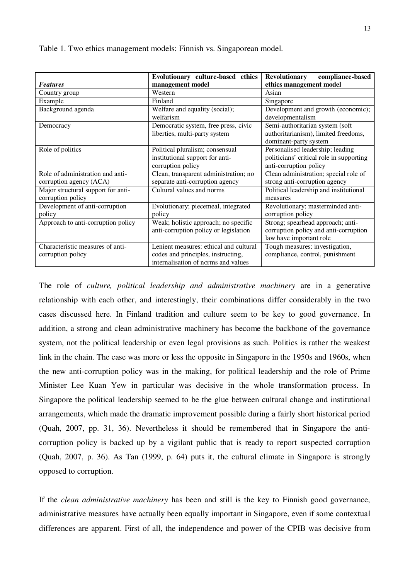Table 1. Two ethics management models: Finnish vs. Singaporean model.

|                                    | Evolutionary culture-based ethics      | compliance-based<br><b>Revolutionary</b> |
|------------------------------------|----------------------------------------|------------------------------------------|
| <b>Features</b>                    | management model                       | ethics management model                  |
| Country group                      | Western                                | Asian                                    |
| Example                            | Finland                                | Singapore                                |
| Background agenda                  | Welfare and equality (social);         | Development and growth (economic);       |
|                                    | welfarism                              | developmentalism                         |
| Democracy                          | Democratic system, free press, civic   | Semi-authoritarian system (soft          |
|                                    | liberties, multi-party system          | authoritarianism), limited freedoms,     |
|                                    |                                        | dominant-party system                    |
| Role of politics                   | Political pluralism; consensual        | Personalised leadership; leading         |
|                                    | institutional support for anti-        | politicians' critical role in supporting |
|                                    | corruption policy                      | anti-corruption policy                   |
| Role of administration and anti-   | Clean, transparent administration; no  | Clean administration; special role of    |
| corruption agency (ACA)            | separate anti-corruption agency        | strong anti-corruption agency            |
| Major structural support for anti- | Cultural values and norms              | Political leadership and institutional   |
| corruption policy                  |                                        | measures                                 |
| Development of anti-corruption     | Evolutionary; piecemeal, integrated    | Revolutionary; masterminded anti-        |
| policy                             | policy                                 | corruption policy                        |
| Approach to anti-corruption policy | Weak; holistic approach; no specific   | Strong; spearhead approach; anti-        |
|                                    | anti-corruption policy or legislation  | corruption policy and anti-corruption    |
|                                    |                                        | law have important role                  |
| Characteristic measures of anti-   | Lenient measures: ethical and cultural | Tough measures: investigation,           |
| corruption policy                  | codes and principles, instructing,     | compliance, control, punishment          |
|                                    | internalisation of norms and values    |                                          |

The role of *culture, political leadership and administrative machinery* are in a generative relationship with each other, and interestingly, their combinations differ considerably in the two cases discussed here. In Finland tradition and culture seem to be key to good governance. In addition, a strong and clean administrative machinery has become the backbone of the governance system, not the political leadership or even legal provisions as such. Politics is rather the weakest link in the chain. The case was more or less the opposite in Singapore in the 1950s and 1960s, when the new anti-corruption policy was in the making, for political leadership and the role of Prime Minister Lee Kuan Yew in particular was decisive in the whole transformation process. In Singapore the political leadership seemed to be the glue between cultural change and institutional arrangements, which made the dramatic improvement possible during a fairly short historical period (Quah, 2007, pp. 31, 36). Nevertheless it should be remembered that in Singapore the anticorruption policy is backed up by a vigilant public that is ready to report suspected corruption (Quah, 2007, p. 36). As Tan (1999, p. 64) puts it, the cultural climate in Singapore is strongly opposed to corruption.

If the *clean administrative machinery* has been and still is the key to Finnish good governance, administrative measures have actually been equally important in Singapore, even if some contextual differences are apparent. First of all, the independence and power of the CPIB was decisive from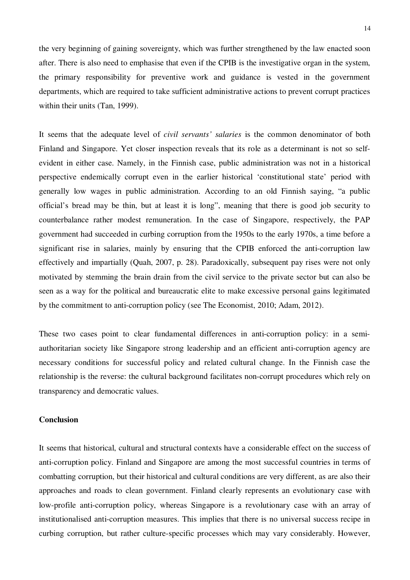the very beginning of gaining sovereignty, which was further strengthened by the law enacted soon after. There is also need to emphasise that even if the CPIB is the investigative organ in the system, the primary responsibility for preventive work and guidance is vested in the government departments, which are required to take sufficient administrative actions to prevent corrupt practices within their units (Tan, 1999).

It seems that the adequate level of *civil servants' salaries* is the common denominator of both Finland and Singapore. Yet closer inspection reveals that its role as a determinant is not so selfevident in either case. Namely, in the Finnish case, public administration was not in a historical perspective endemically corrupt even in the earlier historical 'constitutional state' period with generally low wages in public administration. According to an old Finnish saying, "a public official's bread may be thin, but at least it is long", meaning that there is good job security to counterbalance rather modest remuneration. In the case of Singapore, respectively, the PAP government had succeeded in curbing corruption from the 1950s to the early 1970s, a time before a significant rise in salaries, mainly by ensuring that the CPIB enforced the anti-corruption law effectively and impartially (Quah, 2007, p. 28). Paradoxically, subsequent pay rises were not only motivated by stemming the brain drain from the civil service to the private sector but can also be seen as a way for the political and bureaucratic elite to make excessive personal gains legitimated by the commitment to anti-corruption policy (see The Economist, 2010; Adam, 2012).

These two cases point to clear fundamental differences in anti-corruption policy: in a semiauthoritarian society like Singapore strong leadership and an efficient anti-corruption agency are necessary conditions for successful policy and related cultural change. In the Finnish case the relationship is the reverse: the cultural background facilitates non-corrupt procedures which rely on transparency and democratic values.

## **Conclusion**

It seems that historical, cultural and structural contexts have a considerable effect on the success of anti-corruption policy. Finland and Singapore are among the most successful countries in terms of combatting corruption, but their historical and cultural conditions are very different, as are also their approaches and roads to clean government. Finland clearly represents an evolutionary case with low-profile anti-corruption policy, whereas Singapore is a revolutionary case with an array of institutionalised anti-corruption measures. This implies that there is no universal success recipe in curbing corruption, but rather culture-specific processes which may vary considerably. However,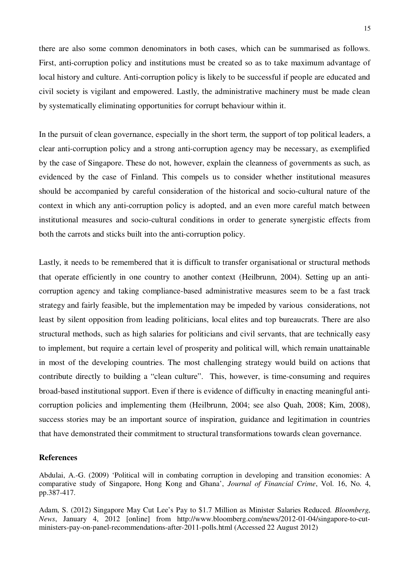there are also some common denominators in both cases, which can be summarised as follows. First, anti-corruption policy and institutions must be created so as to take maximum advantage of local history and culture. Anti-corruption policy is likely to be successful if people are educated and civil society is vigilant and empowered. Lastly, the administrative machinery must be made clean by systematically eliminating opportunities for corrupt behaviour within it.

In the pursuit of clean governance, especially in the short term, the support of top political leaders, a clear anti-corruption policy and a strong anti-corruption agency may be necessary, as exemplified by the case of Singapore. These do not, however, explain the cleanness of governments as such, as evidenced by the case of Finland. This compels us to consider whether institutional measures should be accompanied by careful consideration of the historical and socio-cultural nature of the context in which any anti-corruption policy is adopted, and an even more careful match between institutional measures and socio-cultural conditions in order to generate synergistic effects from both the carrots and sticks built into the anti-corruption policy.

Lastly, it needs to be remembered that it is difficult to transfer organisational or structural methods that operate efficiently in one country to another context (Heilbrunn, 2004). Setting up an anticorruption agency and taking compliance-based administrative measures seem to be a fast track strategy and fairly feasible, but the implementation may be impeded by various considerations, not least by silent opposition from leading politicians, local elites and top bureaucrats. There are also structural methods, such as high salaries for politicians and civil servants, that are technically easy to implement, but require a certain level of prosperity and political will, which remain unattainable in most of the developing countries. The most challenging strategy would build on actions that contribute directly to building a "clean culture". This, however, is time-consuming and requires broad-based institutional support. Even if there is evidence of difficulty in enacting meaningful anticorruption policies and implementing them (Heilbrunn, 2004; see also Quah, 2008; Kim, 2008), success stories may be an important source of inspiration, guidance and legitimation in countries that have demonstrated their commitment to structural transformations towards clean governance.

### **References**

Abdulai, A.-G. (2009) 'Political will in combating corruption in developing and transition economies: A comparative study of Singapore, Hong Kong and Ghana', *Journal of Financial Crime*, Vol. 16, No. 4, pp.387-417.

Adam, S. (2012) Singapore May Cut Lee's Pay to \$1.7 Million as Minister Salaries Reduced. *Bloomberg, News*, January 4, 2012 [online] from http://www.bloomberg.com/news/2012-01-04/singapore-to-cutministers-pay-on-panel-recommendations-after-2011-polls.html (Accessed 22 August 2012)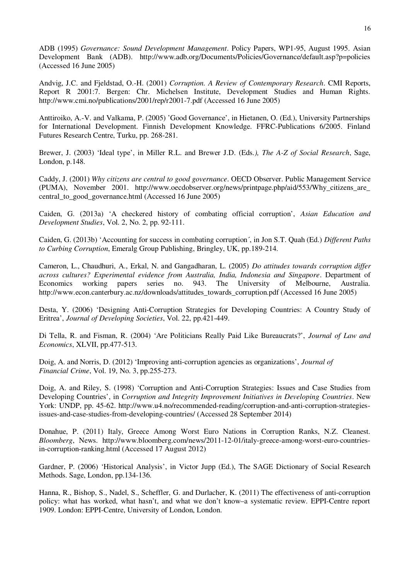ADB (1995) *Governance: Sound Development Management*. Policy Papers, WP1-95, August 1995. Asian Development Bank (ADB). http://www.adb.org/Documents/Policies/Governance/default.asp?p=policies (Accessed 16 June 2005)

Andvig, J.C. and Fjeldstad, O.-H. (2001) *Corruption. A Review of Contemporary Research*. CMI Reports, Report R 2001:7. Bergen: Chr. Michelsen Institute, Development Studies and Human Rights. http://www.cmi.no/publications/2001/rep/r2001-7.pdf (Accessed 16 June 2005)

Anttiroiko, A.-V. and Valkama, P. (2005) 'Good Governance', in Hietanen, O. (Ed.), University Partnerships for International Development. Finnish Development Knowledge. FFRC-Publications 6/2005. Finland Futures Research Centre, Turku, pp. 268-281.

Brewer, J. (2003) 'Ideal type', in Miller R.L. and Brewer J.D. (Eds*.), The A-Z of Social Research*, Sage, London, p.148.

Caddy, J. (2001) *Why citizens are central to good governance*. OECD Observer. Public Management Service (PUMA), November 2001. http://www.oecdobserver.org/news/printpage.php/aid/553/Why\_citizens\_are\_ central\_to\_good\_governance.html (Accessed 16 June 2005)

Caiden, G. (2013a) 'A checkered history of combating official corruption', *Asian Education and Development Studies*, Vol. 2, No. 2, pp. 92-111.

Caiden, G. (2013b) 'Accounting for success in combating corruption´, in Jon S.T. Quah (Ed.) *Different Paths to Curbing Corruption*, Emeralg Group Publishing, Bringley, UK, pp.189-214.

Cameron, L., Chaudhuri, A., Erkal, N. and Gangadharan, L. (2005) *Do attitudes towards corruption differ across cultures? Experimental evidence from Australia, India, Indonesia and Singapore*. Department of Economics working papers series no. 943. The University of Melbourne, Australia. http://www.econ.canterbury.ac.nz/downloads/attitudes\_towards\_corruption.pdf (Accessed 16 June 2005)

Desta, Y. (2006) 'Designing Anti-Corruption Strategies for Developing Countries: A Country Study of Eritrea', *Journal of Developing Societies*, Vol. 22, pp.421-449.

Di Tella, R. and Fisman, R. (2004) 'Are Politicians Really Paid Like Bureaucrats?', *Journal of Law and Economics*, XLVII, pp.477-513.

Doig, A. and Norris, D. (2012) 'Improving anti-corruption agencies as organizations', *Journal of Financial Crime*, Vol. 19, No. 3, pp.255-273.

Doig, A. and Riley, S. (1998) 'Corruption and Anti-Corruption Strategies: Issues and Case Studies from Developing Countries', in *Corruption and Integrity Improvement Initiatives in Developing Countries*. New York: UNDP, pp. 45-62. http://www.u4.no/recommended-reading/corruption-and-anti-corruption-strategiesissues-and-case-studies-from-developing-countries/ (Accessed 28 September 2014)

Donahue, P. (2011) Italy, Greece Among Worst Euro Nations in Corruption Ranks, N.Z. Cleanest. *Bloomberg*, News. http://www.bloomberg.com/news/2011-12-01/italy-greece-among-worst-euro-countriesin-corruption-ranking.html (Accessed 17 August 2012)

Gardner, P. (2006) 'Historical Analysis', in Victor Jupp (Ed.), The SAGE Dictionary of Social Research Methods. Sage, London, pp.134-136.

Hanna, R., Bishop, S., Nadel, S., Scheffler, G. and Durlacher, K. (2011) The effectiveness of anti-corruption policy: what has worked, what hasn't, and what we don't know–a systematic review. EPPI-Centre report 1909. London: EPPI-Centre, University of London, London.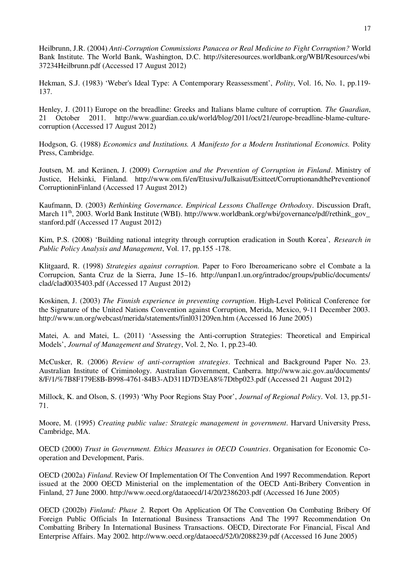Heilbrunn, J.R. (2004) *Anti-Corruption Commissions Panacea or Real Medicine to Fight Corruption?* World Bank Institute. The World Bank, Washington, D.C. http://siteresources.worldbank.org/WBI/Resources/wbi 37234Heilbrunn.pdf (Accessed 17 August 2012)

Hekman, S.J. (1983) 'Weber's Ideal Type: A Contemporary Reassessment', *Polity*, Vol. 16, No. 1, pp.119- 137.

Henley, J. (2011) Europe on the breadline: Greeks and Italians blame culture of corruption. *The Guardian*, 21 October 2011. http://www.guardian.co.uk/world/blog/2011/oct/21/europe-breadline-blame-culturecorruption (Accessed 17 August 2012)

Hodgson, G. (1988) *Economics and Institutions. A Manifesto for a Modern Institutional Economics.* Polity Press, Cambridge.

Joutsen, M. and Keränen, J. (2009) *Corruption and the Prevention of Corruption in Finland*. Ministry of Justice, Helsinki, Finland. http://www.om.fi/en/Etusivu/Julkaisut/Esitteet/CorruptionandthePreventionof CorruptioninFinland (Accessed 17 August 2012)

Kaufmann, D. (2003) *Rethinking Governance. Empirical Lessons Challenge Orthodoxy*. Discussion Draft, March 11<sup>th</sup>, 2003. World Bank Institute (WBI). http://www.worldbank.org/wbi/governance/pdf/rethink\_gov\_ stanford.pdf (Accessed 17 August 2012)

Kim, P.S. (2008) 'Building national integrity through corruption eradication in South Korea', *Research in Public Policy Analysis and Management*, Vol. 17, pp.155 -178.

Klitgaard, R. (1998) *Strategies against corruption*. Paper to Foro Iberoamericano sobre el Combate a la Corrupcion, Santa Cruz de la Sierra, June 15–16. http://unpan1.un.org/intradoc/groups/public/documents/ clad/clad0035403.pdf (Accessed 17 August 2012)

Koskinen, J. (2003) *The Finnish experience in preventing corruption*. High-Level Political Conference for the Signature of the United Nations Convention against Corruption, Merida, Mexico, 9-11 December 2003. http://www.un.org/webcast/merida/statements/finl031209en.htm (Accessed 16 June 2005)

Matei, A. and Matei, L. (2011) 'Assessing the Anti-corruption Strategies: Theoretical and Empirical Models', *Journal of Management and Strategy*, Vol. 2, No. 1, pp.23-40.

McCusker, R. (2006) *Review of anti-corruption strategies*. Technical and Background Paper No. 23. Australian Institute of Criminology. Australian Government, Canberra. http://www.aic.gov.au/documents/ 8/F/1/%7B8F179E8B-B998-4761-84B3-AD311D7D3EA8%7Dtbp023.pdf (Accessed 21 August 2012)

Millock, K. and Olson, S. (1993) 'Why Poor Regions Stay Poor', *Journal of Regional Policy*. Vol. 13, pp.51- 71.

Moore, M. (1995) *Creating public value: Strategic management in government*. Harvard University Press, Cambridge, MA.

OECD (2000) *Trust in Government. Ethics Measures in OECD Countries*. Organisation for Economic Cooperation and Development, Paris.

OECD (2002a) *Finland*. Review Of Implementation Of The Convention And 1997 Recommendation. Report issued at the 2000 OECD Ministerial on the implementation of the OECD Anti-Bribery Convention in Finland, 27 June 2000. http://www.oecd.org/dataoecd/14/20/2386203.pdf (Accessed 16 June 2005)

OECD (2002b) *Finland: Phase 2.* Report On Application Of The Convention On Combating Bribery Of Foreign Public Officials In International Business Transactions And The 1997 Recommendation On Combatting Bribery In International Business Transactions. OECD, Directorate For Financial, Fiscal And Enterprise Affairs. May 2002. http://www.oecd.org/dataoecd/52/0/2088239.pdf (Accessed 16 June 2005)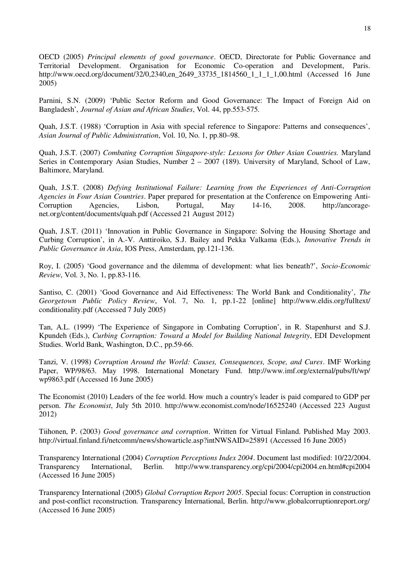OECD (2005) *Principal elements of good governance*. OECD, Directorate for Public Governance and Territorial Development. Organisation for Economic Co-operation and Development, Paris. http://www.oecd.org/document/32/0,2340,en\_2649\_33735\_1814560\_1\_1\_1\_1,00.html (Accessed 16 June 2005)

Parnini, S.N. (2009) 'Public Sector Reform and Good Governance: The Impact of Foreign Aid on Bangladesh', *Journal of Asian and African Studies*, Vol. 44, pp.553-575.

Quah, J.S.T. (1988) 'Corruption in Asia with special reference to Singapore: Patterns and consequences', *Asian Journal of Public Administration*, Vol. 10, No. 1, pp.80–98.

Quah, J.S.T. (2007) *Combating Corruption Singapore-style: Lessons for Other Asian Countries.* Maryland Series in Contemporary Asian Studies, Number 2 – 2007 (189). University of Maryland, School of Law, Baltimore, Maryland.

Quah, J.S.T. (2008) *Defying Institutional Failure: Learning from the Experiences of Anti-Corruption Agencies in Four Asian Countries*. Paper prepared for presentation at the Conference on Empowering Anti-Corruption Agencies, Lisbon, Portugal, May 14-16, 2008. http://ancoragenet.org/content/documents/quah.pdf (Accessed 21 August 2012)

Quah, J.S.T. (2011) 'Innovation in Public Governance in Singapore: Solving the Housing Shortage and Curbing Corruption', in A.-V. Anttiroiko, S.J. Bailey and Pekka Valkama (Eds.), *Innovative Trends in Public Governance in Asia*, IOS Press, Amsterdam, pp.121-136.

Roy, I. (2005) 'Good governance and the dilemma of development: what lies beneath?', *Socio-Economic Review*, Vol. 3, No. 1, pp.83-116.

Santiso, C. (2001) 'Good Governance and Aid Effectiveness: The World Bank and Conditionality', *The Georgetown Public Policy Review*, Vol. 7, No. 1, pp.1-22 [online] http://www.eldis.org/fulltext/ conditionality.pdf (Accessed 7 July 2005)

Tan, A.L. (1999) 'The Experience of Singapore in Combating Corruption', in R. Stapenhurst and S.J. Kpundeh (Eds.), *Curbing Corruption: Toward a Model for Building National Integrity*, EDI Development Studies. World Bank, Washington, D.C., pp.59-66.

Tanzi, V. (1998) *Corruption Around the World: Causes, Consequences, Scope, and Cures*. IMF Working Paper, WP/98/63. May 1998. International Monetary Fund. http://www.imf.org/external/pubs/ft/wp/ wp9863.pdf (Accessed 16 June 2005)

The Economist (2010) Leaders of the fee world. How much a country's leader is paid compared to GDP per person. *The Economist*, July 5th 2010. http://www.economist.com/node/16525240 (Accessed 223 August 2012)

Tiihonen, P. (2003) *Good governance and corruption*. Written for Virtual Finland. Published May 2003. http://virtual.finland.fi/netcomm/news/showarticle.asp?intNWSAID=25891 (Accessed 16 June 2005)

Transparency International (2004) *Corruption Perceptions Index 2004*. Document last modified: 10/22/2004. Transparency International, Berlin. http://www.transparency.org/cpi/2004/cpi2004.en.html#cpi2004 (Accessed 16 June 2005)

Transparency International (2005) *Global Corruption Report 2005*. Special focus: Corruption in construction and post-conflict reconstruction. Transparency International, Berlin. http://www.globalcorruptionreport.org/ (Accessed 16 June 2005)